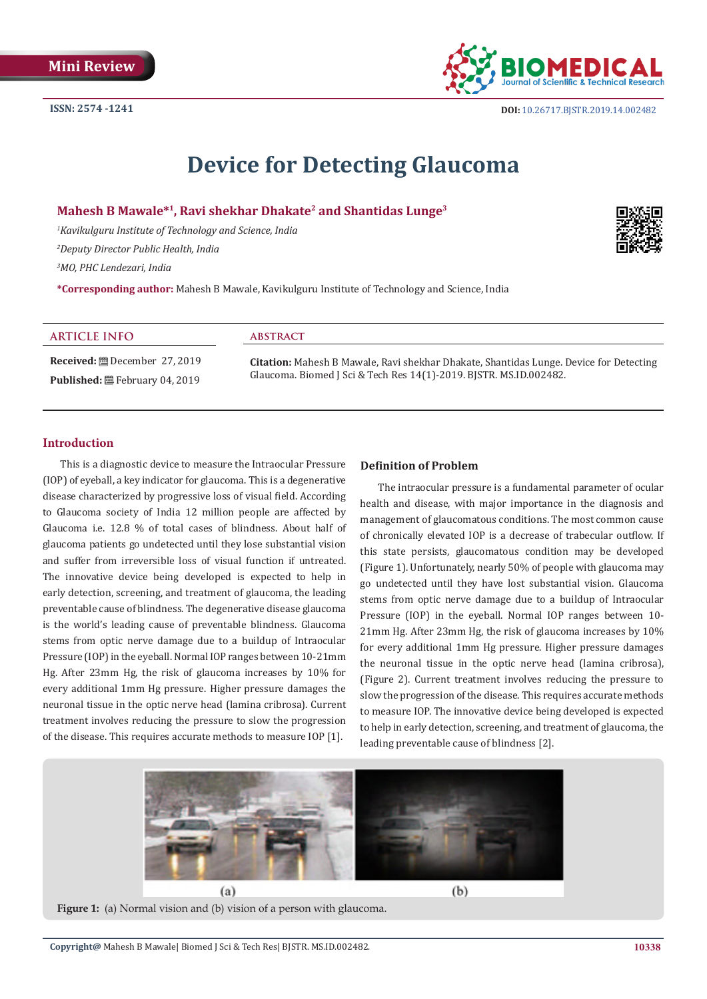

# **Device for Detecting Glaucoma**

**Mahesh B Mawale\*1, Ravi shekhar Dhakate2 and Shantidas Lunge3**

*1 Kavikulguru Institute of Technology and Science, India 2 Deputy Director Public Health, India*

*3 MO, PHC Lendezari, India*

**\*Corresponding author:** Mahesh B Mawale, Kavikulguru Institute of Technology and Science, India

### **ARTICLE INFO**

**Received:** December 27, 2019 **Published:** ■ February 04, 2019

#### **abstract**

**Citation:** Mahesh B Mawale, Ravi shekhar Dhakate, Shantidas Lunge. Device for Detecting Glaucoma. Biomed J Sci & Tech Res 14(1)-2019. BJSTR. MS.ID.002482.

## **Introduction**

This is a diagnostic device to measure the Intraocular Pressure (IOP) of eyeball, a key indicator for glaucoma. This is a degenerative disease characterized by progressive loss of visual field. According to Glaucoma society of India 12 million people are affected by Glaucoma i.e. 12.8 % of total cases of blindness. About half of glaucoma patients go undetected until they lose substantial vision and suffer from irreversible loss of visual function if untreated. The innovative device being developed is expected to help in early detection, screening, and treatment of glaucoma, the leading preventable cause of blindness. The degenerative disease glaucoma is the world's leading cause of preventable blindness. Glaucoma stems from optic nerve damage due to a buildup of Intraocular Pressure (IOP) in the eyeball. Normal IOP ranges between 10-21mm Hg. After 23mm Hg, the risk of glaucoma increases by 10% for every additional 1mm Hg pressure. Higher pressure damages the neuronal tissue in the optic nerve head (lamina cribrosa). Current treatment involves reducing the pressure to slow the progression of the disease. This requires accurate methods to measure IOP [1].

#### **Definition of Problem**

The intraocular pressure is a fundamental parameter of ocular health and disease, with major importance in the diagnosis and management of glaucomatous conditions. The most common cause of chronically elevated IOP is a decrease of trabecular outflow. If this state persists, glaucomatous condition may be developed (Figure 1). Unfortunately, nearly 50% of people with glaucoma may go undetected until they have lost substantial vision. Glaucoma stems from optic nerve damage due to a buildup of Intraocular Pressure (IOP) in the eyeball. Normal IOP ranges between 10- 21mm Hg. After 23mm Hg, the risk of glaucoma increases by 10% for every additional 1mm Hg pressure. Higher pressure damages the neuronal tissue in the optic nerve head (lamina cribrosa), (Figure 2). Current treatment involves reducing the pressure to slow the progression of the disease. This requires accurate methods to measure IOP. The innovative device being developed is expected to help in early detection, screening, and treatment of glaucoma, the leading preventable cause of blindness [2].



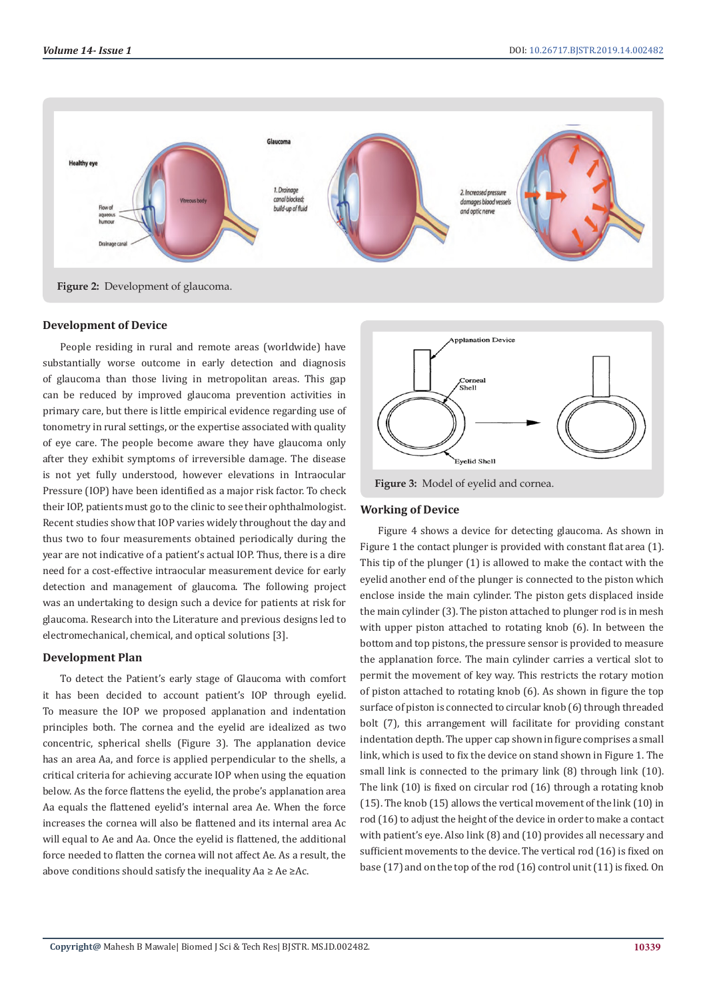

**Development of Device** 

People residing in rural and remote areas (worldwide) have substantially worse outcome in early detection and diagnosis of glaucoma than those living in metropolitan areas. This gap can be reduced by improved glaucoma prevention activities in primary care, but there is little empirical evidence regarding use of tonometry in rural settings, or the expertise associated with quality of eye care. The people become aware they have glaucoma only after they exhibit symptoms of irreversible damage. The disease is not yet fully understood, however elevations in Intraocular Pressure (IOP) have been identified as a major risk factor. To check their IOP, patients must go to the clinic to see their ophthalmologist. Recent studies show that IOP varies widely throughout the day and thus two to four measurements obtained periodically during the year are not indicative of a patient's actual IOP. Thus, there is a dire need for a cost-effective intraocular measurement device for early detection and management of glaucoma. The following project was an undertaking to design such a device for patients at risk for glaucoma. Research into the Literature and previous designs led to electromechanical, chemical, and optical solutions [3].

# **Development Plan**

To detect the Patient's early stage of Glaucoma with comfort it has been decided to account patient's IOP through eyelid. To measure the IOP we proposed applanation and indentation principles both. The cornea and the eyelid are idealized as two concentric, spherical shells (Figure 3). The applanation device has an area Aa, and force is applied perpendicular to the shells, a critical criteria for achieving accurate IOP when using the equation below. As the force flattens the eyelid, the probe's applanation area Aa equals the flattened eyelid's internal area Ae. When the force increases the cornea will also be flattened and its internal area Ac will equal to Ae and Aa. Once the evelid is flattened, the additional force needed to flatten the cornea will not affect Ae. As a result, the above conditions should satisfy the inequality  $Aa \ge Ae \ge Ac$ .



**Figure 3:** Model of eyelid and cornea.

#### **Working of Device**

Figure 4 shows a device for detecting glaucoma. As shown in Figure 1 the contact plunger is provided with constant flat area (1). This tip of the plunger (1) is allowed to make the contact with the eyelid another end of the plunger is connected to the piston which enclose inside the main cylinder. The piston gets displaced inside the main cylinder (3). The piston attached to plunger rod is in mesh with upper piston attached to rotating knob (6). In between the bottom and top pistons, the pressure sensor is provided to measure the applanation force. The main cylinder carries a vertical slot to permit the movement of key way. This restricts the rotary motion of piston attached to rotating knob (6). As shown in figure the top surface of piston is connected to circular knob (6) through threaded bolt (7), this arrangement will facilitate for providing constant indentation depth. The upper cap shown in figure comprises a small link, which is used to fix the device on stand shown in Figure 1. The small link is connected to the primary link (8) through link (10). The link (10) is fixed on circular rod (16) through a rotating knob (15). The knob (15) allows the vertical movement of the link (10) in rod (16) to adjust the height of the device in order to make a contact with patient's eye. Also link (8) and (10) provides all necessary and sufficient movements to the device. The vertical rod (16) is fixed on base (17) and on the top of the rod (16) control unit (11) is fixed. On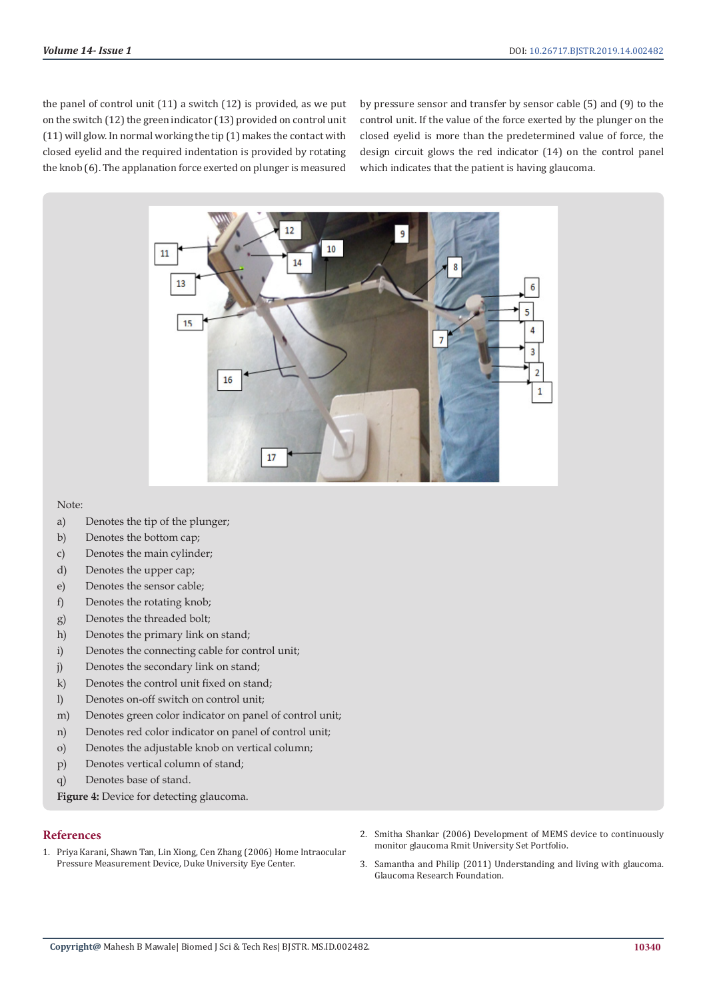the panel of control unit (11) a switch (12) is provided, as we put on the switch (12) the green indicator (13) provided on control unit (11) will glow. In normal working the tip (1) makes the contact with closed eyelid and the required indentation is provided by rotating the knob (6). The applanation force exerted on plunger is measured by pressure sensor and transfer by sensor cable (5) and (9) to the control unit. If the value of the force exerted by the plunger on the closed eyelid is more than the predetermined value of force, the design circuit glows the red indicator (14) on the control panel which indicates that the patient is having glaucoma.



#### Note:

- a) Denotes the tip of the plunger;
- b) Denotes the bottom cap;
- c) Denotes the main cylinder;
- d) Denotes the upper cap;
- e) Denotes the sensor cable;
- f) Denotes the rotating knob;
- g) Denotes the threaded bolt;
- h) Denotes the primary link on stand;
- i) Denotes the connecting cable for control unit;
- j) Denotes the secondary link on stand;
- k) Denotes the control unit fixed on stand:
- l) Denotes on-off switch on control unit;
- m) Denotes green color indicator on panel of control unit;
- n) Denotes red color indicator on panel of control unit;
- o) Denotes the adjustable knob on vertical column;
- p) Denotes vertical column of stand;
- q) Denotes base of stand.

Figure 4: Device for detecting glaucoma.

# **References**

- 1. Priya Karani, Shawn Tan, Lin Xiong, Cen Zhang (2006) Home Intraocular Pressure Measurement Device, Duke University Eye Center.
- 2. [Smitha Shankar \(2006\) Development of MEMS device to continuously](https://docplayer.net/35130812-Development-of-a-mems-device-to-continuously-monitor-glaucoma.html) [monitor glaucoma Rmit University Set Portfolio.](https://docplayer.net/35130812-Development-of-a-mems-device-to-continuously-monitor-glaucoma.html)
- 3. Samantha and Philip (2011) Understanding and living with glaucoma. Glaucoma Research Foundation.